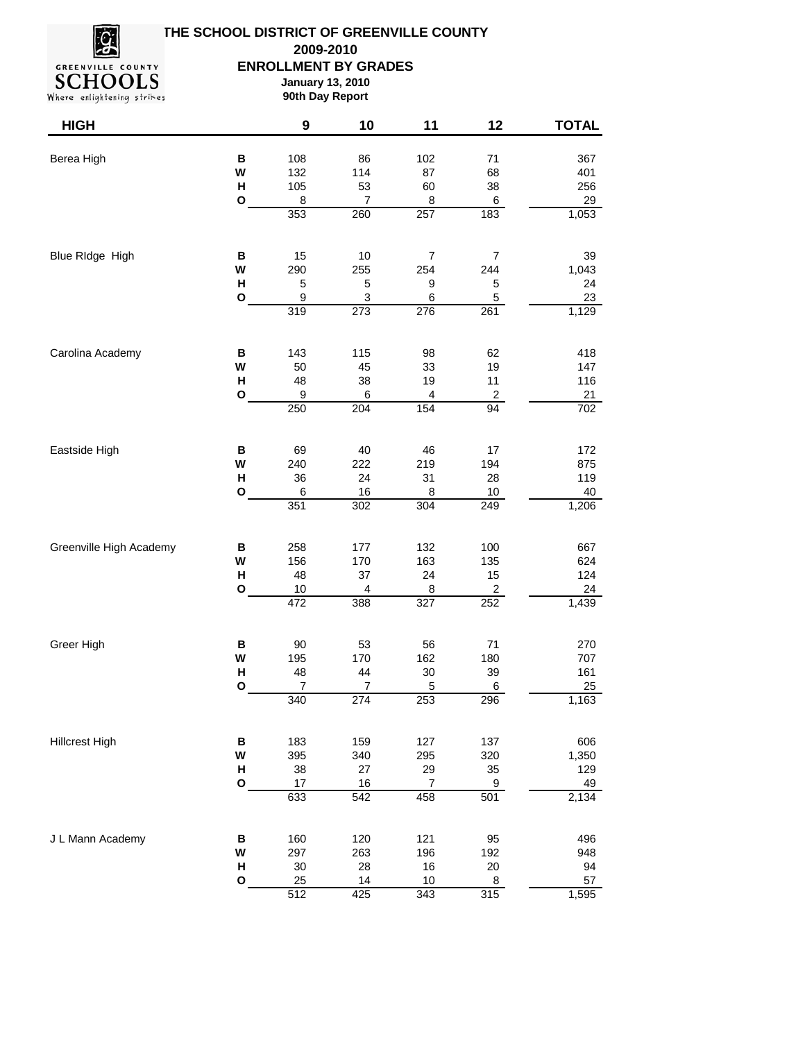



## **ENROLLMENT BY GRADES January 13, 2010 90th Day Report 2009-2010**

| <b>HIGH</b>             |              | $\boldsymbol{9}$        | 10             | 11                    | 12                      | <b>TOTAL</b> |
|-------------------------|--------------|-------------------------|----------------|-----------------------|-------------------------|--------------|
| Berea High              | В            | 108                     | 86             | 102                   | 71                      | 367          |
|                         | W            | 132                     | 114            | 87                    | 68                      | 401          |
|                         | Н            | 105                     | 53             | 60                    | 38                      | 256          |
|                         | O            | $\,8\,$                 | $\overline{7}$ | 8                     | $\,6$                   | 29           |
|                         |              | 353                     | 260            | 257                   | 183                     | 1,053        |
| Blue RIdge High         | В            | 15                      | $10$           | 7                     | $\overline{7}$          | 39           |
|                         | W            | 290                     | 255            | 254                   | 244                     | 1,043        |
|                         | Н            | $\mathbf 5$             | 5              | 9                     | 5                       | 24           |
|                         | O            | $\boldsymbol{9}$<br>319 | 3<br>273       | 6<br>276              | $\,$ 5 $\,$<br>261      | 23<br>1,129  |
|                         |              |                         |                |                       |                         |              |
| Carolina Academy        | В            | 143                     | 115            | 98                    | 62                      | 418          |
|                         | W<br>H       | 50<br>48                | 45<br>38       | 33<br>19              | 19<br>11                | 147<br>116   |
|                         | O            | 9                       | 6              | 4                     | $\overline{\mathbf{c}}$ | 21           |
|                         |              | 250                     | 204            | 154                   | 94                      | 702          |
| Eastside High           | В            | 69                      | 40             | 46                    | 17                      | 172          |
|                         | W            | 240                     | 222            | 219                   | 194                     | 875          |
|                         | H            | 36                      | 24             | 31                    | 28                      | 119          |
|                         | $\mathbf{o}$ | $\,6$                   | 16             | 8                     | 10                      | 40           |
|                         |              | 351                     | 302            | 304                   | 249                     | 1,206        |
| Greenville High Academy | B            | 258                     | 177            | 132                   | 100                     | 667          |
|                         | W            | 156                     | 170            | 163                   | 135                     | 624          |
|                         | H<br>O       | 48<br>10                | 37<br>4        | 24<br>8               | 15<br>2                 | 124<br>24    |
|                         |              | 472                     | 388            | 327                   | 252                     | 1,439        |
| Greer High              | В            | 90                      | 53             | 56                    | 71                      | 270          |
|                         | W            | 195                     | 170            | 162                   | 180                     | 707          |
|                         | Н            | 48                      | 44             | 30                    | 39                      | 161          |
|                         | O            | $\overline{7}$          | 7              | $\mathbf 5$           | 6                       | 25           |
|                         |              | 340                     | 274            | 253                   | 296                     | 1,163        |
| <b>Hillcrest High</b>   | $\, {\bf B}$ | 183                     | 159            | 127                   | 137                     | 606          |
|                         | W            | 395                     | 340            | 295                   | 320                     | 1,350        |
|                         | Н            | 38                      | 27             | 29                    | $35\,$                  | 129          |
|                         | O            | 17<br>633               | 16<br>542      | $\overline{7}$<br>458 | 9<br>501                | 49<br>2,134  |
| J L Mann Academy        |              |                         |                |                       |                         |              |
|                         | B<br>W       | 160<br>297              | 120<br>263     | 121<br>196            | 95<br>192               | 496<br>948   |
|                         | Н            | $30\,$                  | 28             | $16\,$                | $20\,$                  | 94           |
|                         | O            | 25                      | 14             | 10                    | 8                       | 57           |
|                         |              | 512                     | 425            | 343                   | 315                     | 1,595        |